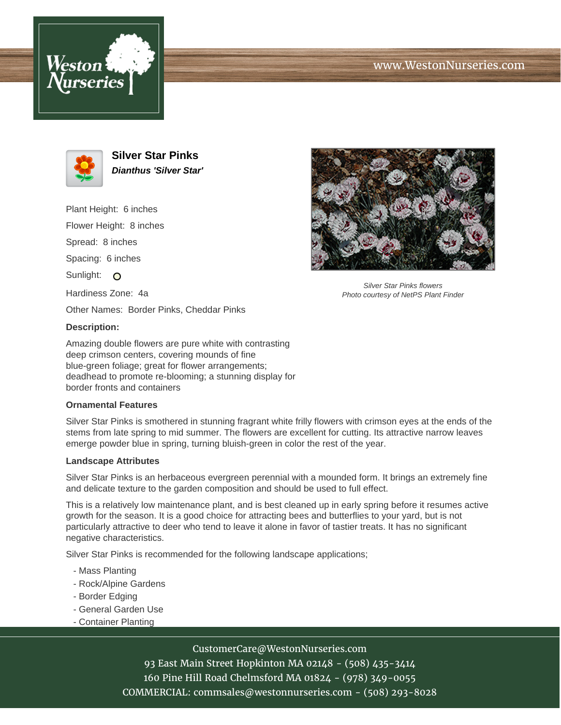



**Silver Star Pinks Dianthus 'Silver Star'**

Plant Height: 6 inches Flower Height: 8 inches Spread: 8 inches Spacing: 6 inches Sunlight: O Hardiness Zone: 4a Other Names: Border Pinks, Cheddar Pinks



Silver Star Pinks flowers Photo courtesy of NetPS Plant Finder

# **Description:**

Amazing double flowers are pure white with contrasting deep crimson centers, covering mounds of fine blue-green foliage; great for flower arrangements; deadhead to promote re-blooming; a stunning display for border fronts and containers

#### **Ornamental Features**

Silver Star Pinks is smothered in stunning fragrant white frilly flowers with crimson eyes at the ends of the stems from late spring to mid summer. The flowers are excellent for cutting. Its attractive narrow leaves emerge powder blue in spring, turning bluish-green in color the rest of the year.

#### **Landscape Attributes**

Silver Star Pinks is an herbaceous evergreen perennial with a mounded form. It brings an extremely fine and delicate texture to the garden composition and should be used to full effect.

This is a relatively low maintenance plant, and is best cleaned up in early spring before it resumes active growth for the season. It is a good choice for attracting bees and butterflies to your yard, but is not particularly attractive to deer who tend to leave it alone in favor of tastier treats. It has no significant negative characteristics.

Silver Star Pinks is recommended for the following landscape applications;

- Mass Planting
- Rock/Alpine Gardens
- Border Edging
- General Garden Use
- Container Planting

# CustomerCare@WestonNurseries.com

93 East Main Street Hopkinton MA 02148 - (508) 435-3414 160 Pine Hill Road Chelmsford MA 01824 - (978) 349-0055 COMMERCIAL: commsales@westonnurseries.com - (508) 293-8028